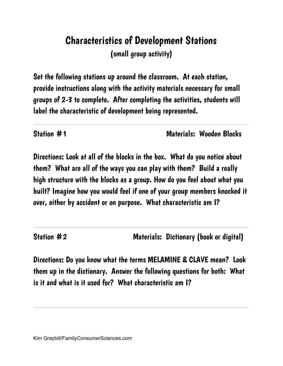# Characteristics of Development Stations (small group activity)

Set the following stations up around the classroom. At each station, provide instructions along with the activity materials necessary for small groups of 2-3 to complete. After completing the activities, students will label the characteristic of development being represented.

Station #1 Materials: Wooden Blocks

Directions: Look at all of the blocks in the box. What do you notice about them? What are all of the ways you can play with them? Build a really high structure with the blocks as a group. How do you feel about what you built? Imagine how you would feel if one of your group members knocked it over, either by accident or on purpose. What characteristic am I?

Station #2 Materials: Dictionary (book or digital)

Directions: Do you know what the terms MELAMINE & CLAVE mean? Look them up in the dictionary. Answer the following questions for both: What is it and what is it used for? What characteristic am I?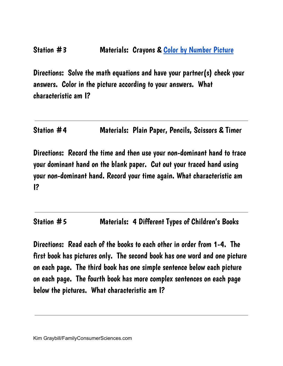Directions: Solve the math equations and have your partner(s) check your answers. Color in the picture according to your answers. What characteristic am I?

Station #4 Materials: Plain Paper, Pencils, Scissors & Timer

Directions: Record the time and then use your non-dominant hand to trace your dominant hand on the blank paper. Cut out your traced hand using your non-dominant hand. Record your time again. What characteristic am I?

Station #5 Materials: 4 Different Types of Children's Books

Directions: Read each of the books to each other in order from 1-4. The first book has pictures only. The second book has one word and one picture on each page. The third book has one simple sentence below each picture on each page. The fourth book has more complex sentences on each page below the pictures. What characteristic am I?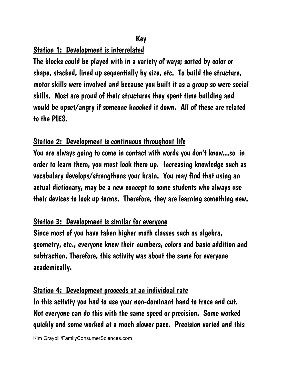## Key

#### Station 1: Development is interrelated

The blocks could be played with in a variety of ways; sorted by color or shape, stacked, lined up sequentially by size, etc. To build the structure, motor skills were involved and because you built it as a group so were social skills. Most are proud of their structures they spent time building and would be upset/angry if someone knocked it down. All of these are related to the PIES.

#### Station 2: Development is continuous throughout life

You are always going to come in contact with words you don't know...so in order to learn them, you must look them up. Increasing knowledge such as vocabulary develops/strengthens your brain. You may find that using an actual dictionary, may be a new concept to some students who always use their devices to look up terms. Therefore, they are learning something new.

## Station 3: Development is similar for everyone

Since most of you have taken higher math classes such as algebra, geometry, etc., everyone knew their numbers, colors and basic addition and subtraction. Therefore, this activity was about the same for everyone academically.

## Station 4: Development proceeds at an individual rate

In this activity you had to use your non-dominant hand to trace and cut. Not everyone can do this with the same speed or precision. Some worked quickly and some worked at a much slower pace. Precision varied and this